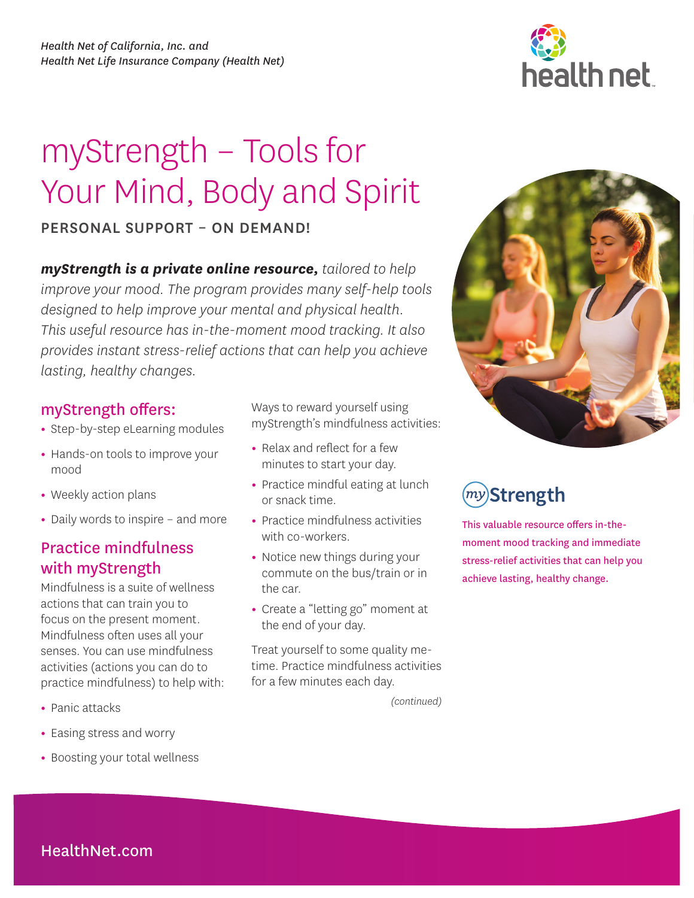# myStrength – Tools for Your Mind, Body and Spirit

### PERSONAL SUPPORT – ON DEMAND!

*myStrength is a private online resource, tailored to help improve your mood. The program provides many self-help tools designed to help improve your mental and physical health. This useful resource has in-the-moment mood tracking. It also provides instant stress-relief actions that can help you achieve lasting, healthy changes.* 

### myStrength offers:

- **•** Step-by-step eLearning modules
- **•** Hands-on tools to improve your mood
- **•** Weekly action plans
- **•** Daily words to inspire and more

## Practice mindfulness with myStrength

Mindfulness is a suite of wellness actions that can train you to focus on the present moment. Mindfulness often uses all your senses. You can use mindfulness activities (actions you can do to practice mindfulness) to help with:

- **•** Panic attacks
- **•** Easing stress and worry
- **•** Boosting your total wellness

Ways to reward yourself using myStrength's mindfulness activities:

- **•** Relax and reflect for a few minutes to start your day.
- **•** Practice mindful eating at lunch or snack time.
- **•** Practice mindfulness activities with co-workers.
- **•** Notice new things during your commute on the bus/train or in the car.
- **•** Create a "letting go" moment at the end of your day.

Treat yourself to some quality metime. Practice mindfulness activities for a few minutes each day.

*(continued)* 





 $\left( my\right)$ Strength

This valuable resource offers in-themoment mood tracking and immediate stress-relief activities that can help you achieve lasting, healthy change.